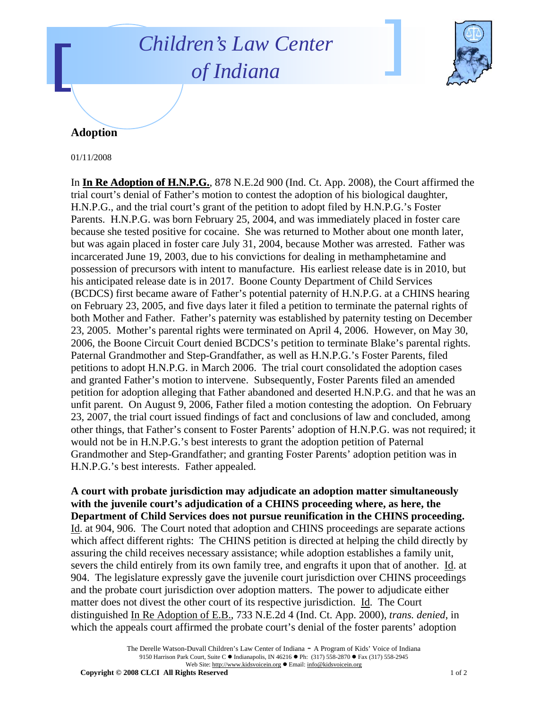## *Children's Law Center of Indiana*



## **Adoption**

01/11/2008

In **In Re Adoption of H.N.P.G.**, 878 N.E.2d 900 (Ind. Ct. App. 2008), the Court affirmed the trial court's denial of Father's motion to contest the adoption of his biological daughter, H.N.P.G., and the trial court's grant of the petition to adopt filed by H.N.P.G.'s Foster Parents. H.N.P.G. was born February 25, 2004, and was immediately placed in foster care because she tested positive for cocaine. She was returned to Mother about one month later, but was again placed in foster care July 31, 2004, because Mother was arrested. Father was incarcerated June 19, 2003, due to his convictions for dealing in methamphetamine and possession of precursors with intent to manufacture. His earliest release date is in 2010, but his anticipated release date is in 2017. Boone County Department of Child Services (BCDCS) first became aware of Father's potential paternity of H.N.P.G. at a CHINS hearing on February 23, 2005, and five days later it filed a petition to terminate the paternal rights of both Mother and Father. Father's paternity was established by paternity testing on December 23, 2005. Mother's parental rights were terminated on April 4, 2006. However, on May 30, 2006, the Boone Circuit Court denied BCDCS's petition to terminate Blake's parental rights. Paternal Grandmother and Step-Grandfather, as well as H.N.P.G.'s Foster Parents, filed petitions to adopt H.N.P.G. in March 2006. The trial court consolidated the adoption cases and granted Father's motion to intervene. Subsequently, Foster Parents filed an amended petition for adoption alleging that Father abandoned and deserted H.N.P.G. and that he was an unfit parent. On August 9, 2006, Father filed a motion contesting the adoption. On February 23, 2007, the trial court issued findings of fact and conclusions of law and concluded, among other things, that Father's consent to Foster Parents' adoption of H.N.P.G. was not required; it would not be in H.N.P.G.'s best interests to grant the adoption petition of Paternal Grandmother and Step-Grandfather; and granting Foster Parents' adoption petition was in H.N.P.G.'s best interests. Father appealed.

**A court with probate jurisdiction may adjudicate an adoption matter simultaneously with the juvenile court's adjudication of a CHINS proceeding where, as here, the Department of Child Services does not pursue reunification in the CHINS proceeding.** Id. at 904, 906. The Court noted that adoption and CHINS proceedings are separate actions which affect different rights: The CHINS petition is directed at helping the child directly by assuring the child receives necessary assistance; while adoption establishes a family unit, severs the child entirely from its own family tree, and engrafts it upon that of another. Id. at 904. The legislature expressly gave the juvenile court jurisdiction over CHINS proceedings and the probate court jurisdiction over adoption matters. The power to adjudicate either matter does not divest the other court of its respective jurisdiction. Id. The Court distinguished In Re Adoption of E.B., 733 N.E.2d 4 (Ind. Ct. App. 2000), *trans. denied*, in which the appeals court affirmed the probate court's denial of the foster parents' adoption

> The Derelle Watson-Duvall Children's Law Center of Indiana - A Program of Kids' Voice of Indiana 9150 Harrison Park Court, Suite C · Indianapolis, IN 46216 • Ph: (317) 558-2870 • Fax (317) 558-2945 Web Site: http://www.kidsvoicein.org · Email: info@kidsvoicein.org